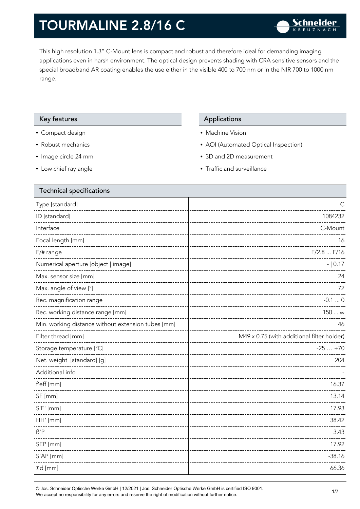This high resolution 1.3" C-Mount lens is compact and robust and therefore ideal for demanding imaging applications even in harsh environment. The optical design prevents shading with CRA sensitive sensors and the special broadband AR coating enables the use either in the visible 400 to 700 nm or in the NIR 700 to 1000 nm range.

#### Key features **Applications** Applications

- Compact design
- Robust mechanics
- Image circle 24 mm
- Low chief ray angle

- Machine Vision
- AOI (Automated Optical Inspection)
- 3D and 2D measurement
- Traffic and surveillance

| <b>Technical specifications</b>                    |                                            |
|----------------------------------------------------|--------------------------------------------|
| Type [standard]                                    | C                                          |
| ID [standard]                                      | 1084232                                    |
| Interface                                          | C-Mount                                    |
| Focal length [mm]                                  | 16                                         |
| F/# range                                          | F/2.8  F/16                                |
| Numerical aperture [object   image]                | $- 0.17$                                   |
| Max. sensor size [mm]                              | 24                                         |
| Max. angle of view [°]                             | 72                                         |
| Rec. magnification range                           | $-0.10$                                    |
| Rec. working distance range [mm]                   | 150  ∞                                     |
| Min. working distance without extension tubes [mm] | 46                                         |
| Filter thread [mm]                                 | M49 x 0.75 (with additional filter holder) |
| Storage temperature [°C]                           | $-25+70$                                   |
| Net. weight [standard] [g]                         | 204                                        |
| Additional info                                    |                                            |
| f'eff [mm]                                         | 16.37                                      |
| SF [mm]                                            | 13.14                                      |
| $S'F'$ [mm]                                        | 17.93                                      |
| HH' [mm]                                           | 38.42                                      |
| $\beta'$ P                                         | 3.43                                       |
| SEP [mm]                                           | 17.92                                      |
| S'AP [mm]                                          | $-38.16$                                   |
| $\Sigma d$ [mm]                                    | 66.36                                      |
|                                                    |                                            |

© Jos. Schneider Optische Werke GmbH | 12/2021 | Jos. Schneider Optische Werke GmbH is certified ISO 9001. We accept no responsibility for any errors and reserve the right of modification without further notice.<br>We accept no responsibility for any errors and reserve the right of modification without further notice.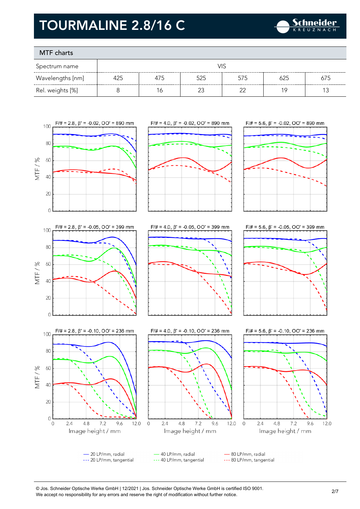

### MTF charts

| Spectrum name    | VIS |     |     |     |     |     |
|------------------|-----|-----|-----|-----|-----|-----|
| Wavelengths [nm] | 425 | 4/5 | 525 | 575 | 625 | 675 |
| Rel. weights [%] |     | Ó   | ∩^  |     | 1 C |     |



© Jos. Schneider Optische Werke GmbH | 12/2021 | Jos. Schneider Optische Werke GmbH is certified ISO 9001. We accept no responsibility for any errors and reserve the right of modification without further notice.<br>We accept no responsibility for any errors and reserve the right of modification without further notice.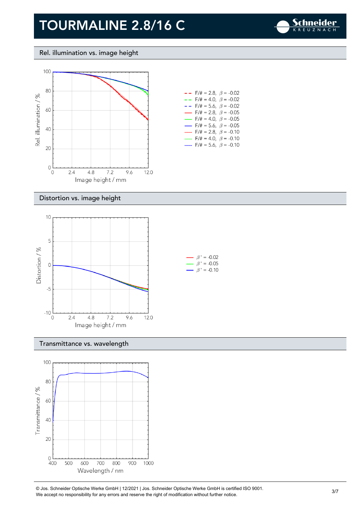

Rel. illumination vs. image height



#### Distortion vs. image height



#### Transmittance vs. wavelength



© Jos. Schneider Optische Werke GmbH | 12/2021 | Jos. Schneider Optische Werke GmbH is certified ISO 9001. We accept no responsibility for any errors and reserve the right of modification without further notice.<br>We accept no responsibility for any errors and reserve the right of modification without further notice.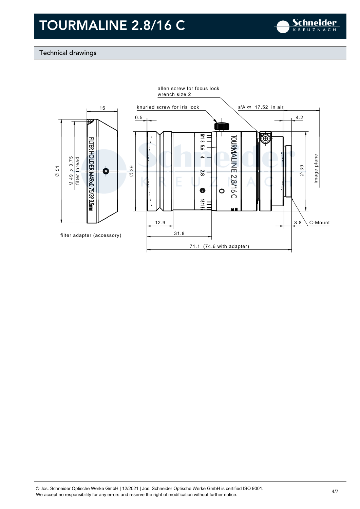

### Technical drawings

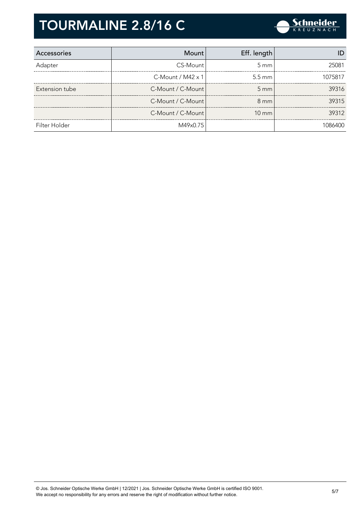

| Accessories    | <b>Mount</b>             | Eff. length        |         |
|----------------|--------------------------|--------------------|---------|
| Adapter        | CS-Mount                 | $5 \, \mathrm{mm}$ | 25081   |
|                | C-Mount / $M42 \times 1$ | $5.5 \text{ mm}$   | 1075817 |
| Extension tube | C-Mount / C-Mount        | $5 \, \text{mm}$   | 39316   |
|                | C-Mount / C-Mount        | $8 \text{ mm}$     | 39315   |
|                | C-Mount / C-Mount        | $10 \text{ mm}$    | 39312   |
| Filter Holder  | M49x0.75                 |                    | 1086400 |